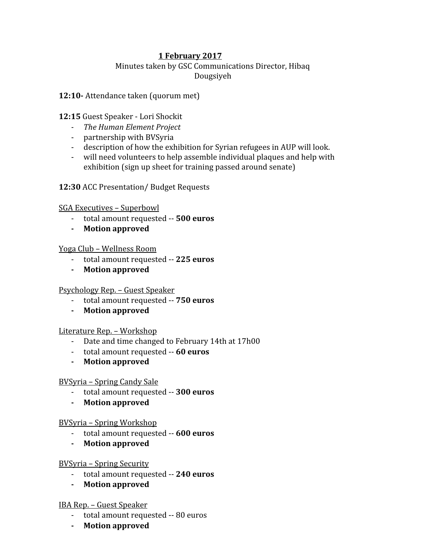# **1 February 2017**

# Minutes taken by GSC Communications Director, Hibaq Dougsiyeh

#### **12:10-** Attendance taken (quorum met)

### **12:15** Guest Speaker - Lori Shockit

- *- The Human Element Project*
- partnership with BVSyria
- description of how the exhibition for Syrian refugees in AUP will look.
- will need volunteers to help assemble individual plaques and help with exhibition (sign up sheet for training passed around senate)
- **12:30** ACC Presentation/ Budget Requests

#### SGA Executives – Superbowl

- total amount requested -- **500 euros**
- **- Motion approved**

# Yoga Club – Wellness Room

- total amount requested -- **225 euros**
- **- Motion approved**

# Psychology Rep. – Guest Speaker

- total amount requested -- **750 euros**
- **- Motion approved**

#### Literature Rep. – Workshop

- Date and time changed to February 14th at 17h00
- total amount requested -- **60 euros**
- **- Motion approved**

#### BVSyria – Spring Candy Sale

- total amount requested -- **300 euros**
- **- Motion approved**

#### BVSyria – Spring Workshop

- total amount requested -- **600 euros**
- **- Motion approved**

#### BVSyria – Spring Security

- total amount requested -- **240 euros**
- **- Motion approved**

#### IBA Rep. – Guest Speaker

- total amount requested -- 80 euros
- **- Motion approved**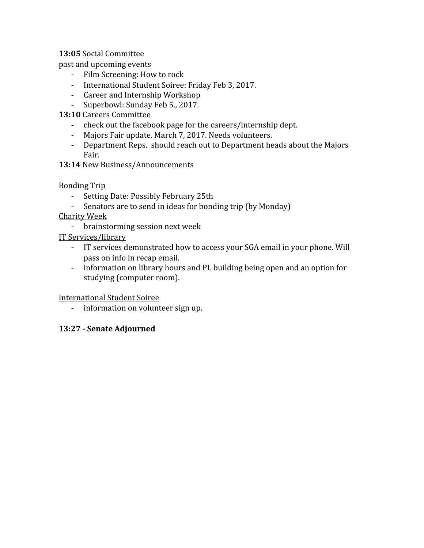#### **13:05** Social Committee

past and upcoming events

- Film Screening: How to rock
- International Student Soiree: Friday Feb 3, 2017.
- Career and Internship Workshop
- Superbowl: Sunday Feb 5., 2017.
- **13:10** Careers Committee
	- check out the facebook page for the careers/internship dept.
	- Majors Fair update. March 7, 2017. Needs volunteers.
	- Department Reps. should reach out to Department heads about the Majors Fair.
- **13:14** New Business/Announcements

# Bonding Trip

- Setting Date: Possibly February 25th
- Senators are to send in ideas for bonding trip (by Monday)

# Charity Week

- brainstorming session next week

# IT Services/library

- IT services demonstrated how to access your SGA email in your phone. Will pass on info in recap email.
- information on library hours and PL building being open and an option for studying (computer room).

# International Student Soiree

- information on volunteer sign up.

# **13:27 - Senate Adjourned**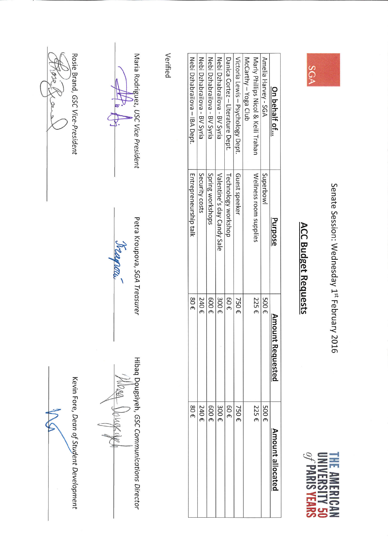

# Senate Session: Wednesday 1<sup>st</sup> February 2016



# **ACC Budget Requests**

| On behalf of                        | Purpose                    | <b>Amount R</b><br>kequestec | Amount allocatec |
|-------------------------------------|----------------------------|------------------------------|------------------|
| Amelia Harvey - SGA                 | Superbowl                  | 500£                         | 500£             |
| Marly Phillips Nicol & Keili Trahan | Wellness room supplies     | 225 €                        | 225 €            |
| McCarthy - Yoga Club                |                            |                              |                  |
| Victoria Lewis - Psychology Dept.   | Guest speeker              | 750 €                        | 750 €            |
| Danica Cortez-Literature Dept.      | Technology workshop        | 309                          | 909              |
| Nepi Dzhaprajlova - BV Syria        | Valentine's day Candy Sale | 300£                         | 300 £            |
| Nepi Dzhaprajlova - BV Syria        | Spring workshops           | 9009                         | 900€             |
| Nepi Dzhaprajlova - BV Syria        | Security costs             | 240£                         | 240£             |
| Nebi Dzhabrailova - IBA Dept        | Entrepreneurship talk      | 308                          | 308              |

Verified

Maria Rodriguez, USC Vice President

Petra Kroupova, SGA Treasurer

MOAN

Kevin Fore, Dean of Student Development

Hibaq Dougsiyeh, GSC Communications Director

Rosie Brand, GSC Vice-President